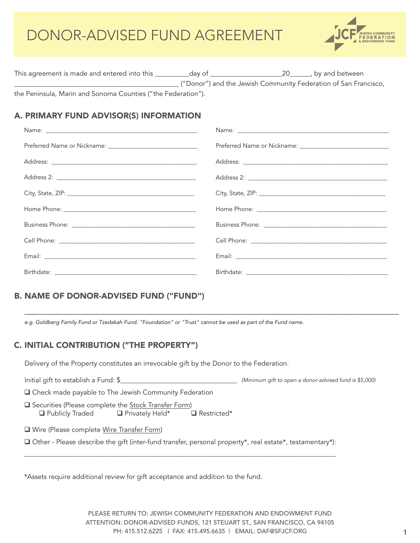

| This agreement is made and entered into this                 | dav of | 20 <i>by</i> and between                                        |
|--------------------------------------------------------------|--------|-----------------------------------------------------------------|
|                                                              |        | ("Donor") and the Jewish Community Federation of San Francisco, |
| the Peninsula, Marin and Sonoma Counties ("the Federation"). |        |                                                                 |

# A. PRIMARY FUND ADVISOR(S) INFORMATION

\_\_\_\_\_\_\_\_\_\_\_\_\_\_\_\_\_\_\_\_\_\_\_\_\_\_\_\_\_\_\_\_\_\_\_\_\_\_\_\_\_\_\_\_\_\_\_\_\_\_\_\_\_\_\_\_\_\_\_\_\_\_\_\_\_\_\_\_\_\_\_\_\_\_\_\_\_\_\_\_\_\_\_\_

# B. NAME OF DONOR-ADVISED FUND ("FUND")

*e.g. Goldberg Family Fund or Tzedakah Fund. "Foundation" or "Trust" cannot be used as part of the Fund name.*

# C. INITIAL CONTRIBUTION ("THE PROPERTY")

Delivery of the Property constitutes an irrevocable gift by the Donor to the Federation.

| Initial gift to establish a Fund: \$                                                                                       | (Minimum gift to open a donor-advised fund is \$5,000) |
|----------------------------------------------------------------------------------------------------------------------------|--------------------------------------------------------|
| $\Box$ Check made payable to The Jewish Community Federation                                                               |                                                        |
| □ Securities (Please complete the Stock Transfer Form)<br>$\Box$ Publicly Traded $\Box$ Privately Held* $\Box$ Restricted* |                                                        |
| □ Wire (Please complete Wire Transfer Form)                                                                                |                                                        |
| $\Box$ Other - Please describe the gift (inter-fund transfer, personal property*, real estate*, testamentary*):            |                                                        |

\*Assets require additional review for gift acceptance and addition to the fund.

PLEASE RETURN TO: JEWISH COMMUNITY FEDERATION AND ENDOWMENT FUND ATTENTION: DONOR-ADVISED FUNDS, 121 STEUART ST., SAN FRANCISCO, CA 94105 PH: 415.512.6225 | FAX: 415.495.6635 | EMAIL: DAF@SFJCF.ORG 1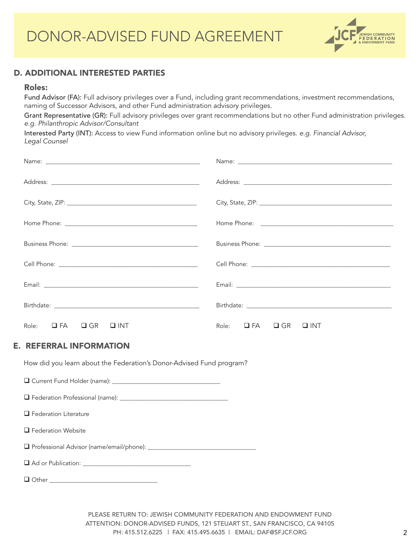

## D. ADDITIONAL INTERESTED PARTIES

#### Roles:

Fund Advisor (FA): Full advisory privileges over a Fund, including grant recommendations, investment recommendations, naming of Successor Advisors, and other Fund administration advisory privileges.

Grant Representative (GR): Full advisory privileges over grant recommendations but no other Fund administration privileges. *e.g. Philanthropic Advisor/Consultant*

Interested Party (INT): Access to view Fund information online but no advisory privileges. *e.g. Financial Advisor, Legal Counsel*

| Role: $\Box$ FA $\Box$ GR $\Box$ INT                                 | Role: $\Box$ FA $\Box$ GR $\Box$ INT |
|----------------------------------------------------------------------|--------------------------------------|
| <b>E. REFERRAL INFORMATION</b>                                       |                                      |
| How did you learn about the Federation's Donor-Advised Fund program? |                                      |
|                                                                      |                                      |

Federation Professional (name): \_\_\_\_\_\_\_\_\_\_\_\_\_\_\_\_\_\_\_\_\_\_\_\_\_\_\_\_\_\_\_\_\_\_\_

**Q** Federation Literature

**Q** Federation Website

Professional Advisor (name/email/phone): \_\_\_\_\_\_\_\_\_\_\_\_\_\_\_\_\_\_\_\_\_\_\_\_\_\_\_\_\_\_\_\_\_\_\_

Ad or Publication: \_\_\_\_\_\_\_\_\_\_\_\_\_\_\_\_\_\_\_\_\_\_\_\_\_\_\_\_\_\_\_\_\_\_\_

 $\Box$  Other  $\Box$ 

PLEASE RETURN TO: JEWISH COMMUNITY FEDERATION AND ENDOWMENT FUND ATTENTION: DONOR-ADVISED FUNDS, 121 STEUART ST., SAN FRANCISCO, CA 94105 PH: 415.512.6225 | FAX: 415.495.6635 | EMAIL: DAF@SFJCF.ORG 2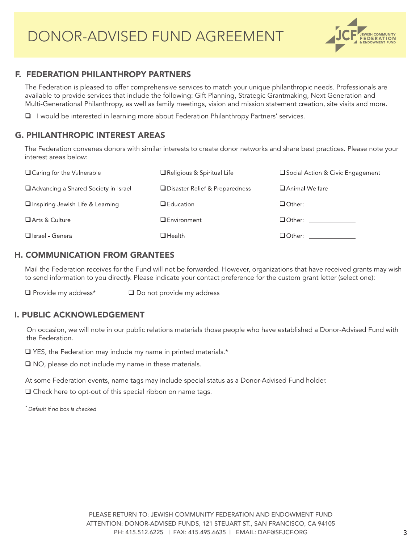

### F. FEDERATION PHILANTHROPY PARTNERS

The Federation is pleased to offer comprehensive services to match your unique philanthropic needs. Professionals are available to provide services that include the following: Gift Planning, Strategic Grantmaking, Next Generation and Multi-Generational Philanthropy, as well as family meetings, vision and mission statement creation, site visits and more.

I would be interested in learning more about Federation Philanthropy Partners' services.

# G. PHILANTHROPIC INTEREST AREAS

The Federation convenes donors with similar interests to create donor networks and share best practices. Please note your interest areas below:

| $\Box$ Caring for the Vulnerable       | Religious & Spiritual Life       | Social Action & Civic Engagement |
|----------------------------------------|----------------------------------|----------------------------------|
| □ Advancing a Shared Society in Israel | □ Disaster Relief & Preparedness | Animal Welfare                   |
| □ Inspiring Jewish Life & Learning     | $\Box$ Education                 | <b>O</b> Other: ________________ |
| Arts & Culture                         | <b>Q</b> Environment             | <b>O</b> Other: ______________   |
| □ Israel - General                     | $\Box$ Health                    |                                  |

### H. COMMUNICATION FROM GRANTEES

Mail the Federation receives for the Fund will not be forwarded. However, organizations that have received grants may wish to send information to you directly. Please indicate your contact preference for the custom grant letter (select one):

 $\Box$  Provide my address\* $\Box$  Do not provide my address

## I. PUBLIC ACKNOWLEDGEMENT

On occasion, we will note in our public relations materials those people who have established a Donor-Advised Fund with the Federation.

■ YES, the Federation may include my name in printed materials.\*

■ NO, please do not include my name in these materials.

At some Federation events, name tags may include special status as a Donor-Advised Fund holder.

□ Check here to opt-out of this special ribbon on name tags.

*\* Default if no box is checked*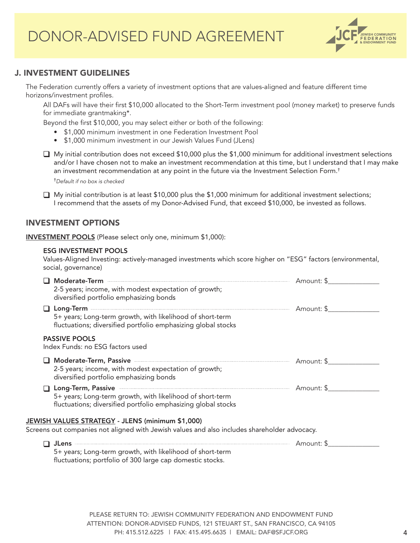

### J. INVESTMENT GUIDELINES

The Federation currently offers a variety of investment options that are values-aligned and feature different time horizons/investment profiles.

All DAFs will have their first \$10,000 allocated to the Short-Term investment pool (money market) to preserve funds for immediate grantmaking\*.

Beyond the first \$10,000, you may select either or both of the following:

- \$1,000 minimum investment in one Federation Investment Pool
- \$1,000 minimum investment in our Jewish Values Fund (JLens)

■ My initial contribution does not exceed \$10,000 plus the \$1,000 minimum for additional investment selections and/or I have chosen not to make an investment recommendation at this time, but I understand that I may make an investment recommendation at any point in the future via the Investment Selection Form.†

†*Default if no box is checked*

 $\Box$  My initial contribution is at least \$10,000 plus the \$1,000 minimum for additional investment selections; I recommend that the assets of my Donor-Advised Fund, that exceed \$10,000, be invested as follows.

#### INVESTMENT OPTIONS

INVESTMENT POOLS (Please select only one, minimum \$1,000):

#### ESG INVESTMENT POOLS

Values-Aligned Investing: actively-managed investments which score higher on "ESG" factors (environmental, social, governance)

| Moderate-Term<br>2-5 years; income, with modest expectation of growth;<br>diversified portfolio emphasizing bonds                                                                                                                                                                                                                                                  |            |
|--------------------------------------------------------------------------------------------------------------------------------------------------------------------------------------------------------------------------------------------------------------------------------------------------------------------------------------------------------------------|------------|
| Long-Term <b>contract to the contract of the contract of the contract of the contract of the contract of the contract of the contract of the contract of the contract of the contract of the contract of the contract of the con</b><br>5+ years; Long-term growth, with likelihood of short-term<br>fluctuations; diversified portfolio emphasizing global stocks | Amount: \$ |
| <b>PASSIVE POOLS</b><br>Index Funds: no ESG factors used                                                                                                                                                                                                                                                                                                           |            |
| Moderate-Term, Passive <b>Commission Contract Contract Passive</b> Section 2014<br>2-5 years; income, with modest expectation of growth;<br>diversified portfolio emphasizing bonds                                                                                                                                                                                | Amount: \$ |
| Long-Term, Passive <b>Executive Service Service Service Service Service Service Service Service Service Service Service Service Service Service Service Service Service Service Service Service Service Service Service Service </b><br>5+ years; Long-term growth, with likelihood of short-term<br>fluctuations; diversified portfolio emphasizing global stocks | Amount: \$ |
| JEWISH VALUES STRATEGY - JLENS (minimum \$1,000)                                                                                                                                                                                                                                                                                                                   |            |
| Screens out companies not aligned with Jewish values and also includes shareholder advocacy.                                                                                                                                                                                                                                                                       |            |
|                                                                                                                                                                                                                                                                                                                                                                    | Amount: \$ |

5+ years; Long-term growth, with likelihood of short-term fluctuations; portfolio of 300 large cap domestic stocks.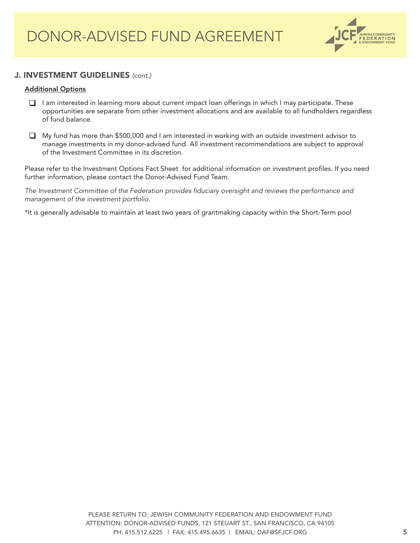

## J. INVESTMENT GUIDELINES *(cont.)*

#### Additional Options

- I am interested in learning more about current impact loan offerings in which I may participate. These opportunities are separate from other investment allocations and are available to all fundholders regardless of fund balance.
- My fund has more than \$500,000 and I am interested in working with an outside investment advisor to manage investments in my donor-advised fund. All investment recommendations are subject to approval of the Investment Committee in its discretion.

Please refer to the Investment Options Fact Sheet for additional information on investment profiles. If you need further information, please contact the Donor-Advised Fund Team.

*The Investment Committee of the Federation provides fiduciary oversight and reviews the performance and management of the investment portfolio.* 

\*It is generally advisable to maintain at least two years of grantmaking capacity within the Short-Term pool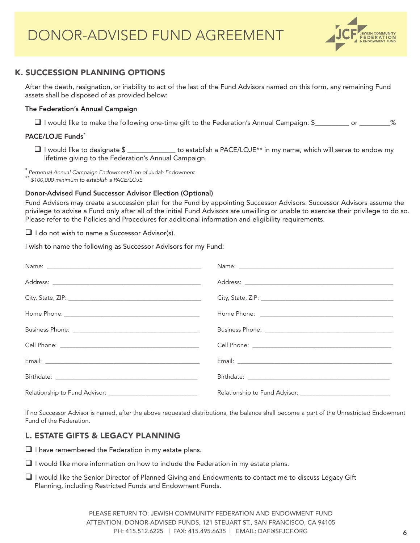

## K. SUCCESSION PLANNING OPTIONS

After the death, resignation, or inability to act of the last of the Fund Advisors named on this form, any remaining Fund assets shall be disposed of as provided below:

#### The Federation's Annual Campaign

I would like to make the following one-time gift to the Federation's Annual Campaign: \$\_\_\_\_\_\_\_\_\_\_ or \_\_\_\_\_\_\_\_\_%

#### PACE/LOJE Funds<sup>\*</sup>

 $\Box$  I would like to designate  $\$\_\_$  to establish a PACE/LOJE\*\* in my name, which will serve to endow my lifetime giving to the Federation's Annual Campaign.

\* *Perpetual Annual Campaign Endowment/Lion of Judah Endowment*  \*\* *\$100,000 minimum to establish a PACE/LOJE*

#### Donor-Advised Fund Successor Advisor Election (Optional)

Fund Advisors may create a succession plan for the Fund by appointing Successor Advisors. Successor Advisors assume the privilege to advise a Fund only after all of the initial Fund Advisors are unwilling or unable to exercise their privilege to do so. Please refer to the Policies and Procedures for additional information and eligibility requirements.

 $\Box$  I do not wish to name a Successor Advisor(s).

I wish to name the following as Successor Advisors for my Fund:

If no Successor Advisor is named, after the above requested distributions, the balance shall become a part of the Unrestricted Endowment Fund of the Federation.

## L. ESTATE GIFTS & LEGACY PLANNING

 $\Box$  I have remembered the Federation in my estate plans.

- $\Box$  I would like more information on how to include the Federation in my estate plans.
- $\Box$  I would like the Senior Director of Planned Giving and Endowments to contact me to discuss Legacy Gift Planning, including Restricted Funds and Endowment Funds.